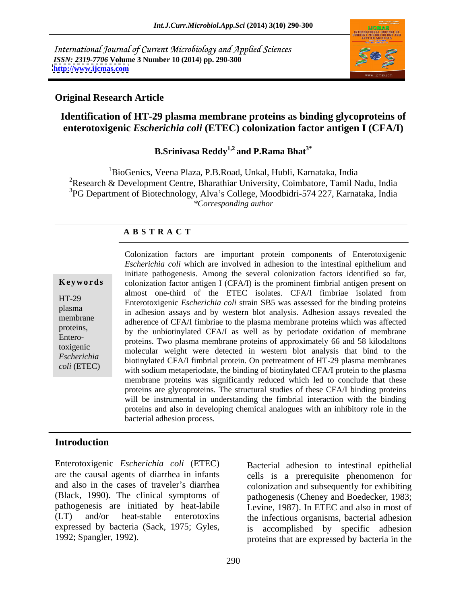International Journal of Current Microbiology and Applied Sciences *ISSN: 2319-7706* **Volume 3 Number 10 (2014) pp. 290-300 <http://www.ijcmas.com>**



### **Original Research Article**

# **Identification of HT-29 plasma membrane proteins as binding glycoproteins of enterotoxigenic** *Escherichia coli* **(ETEC) colonization factor antigen I (CFA/I)**

# **B.Srinivasa Reddy1,2 and P.Rama Bhat3\***

<sup>1</sup>BioGenics, Veena Plaza, P.B.Road, Unkal, Hubli, Karnataka, India 2Research & Development Centre, Bharathiar University, Coimbatore, Tamil Nadu, India <sup>3</sup>PG Department of Biotechnology, Alva's College, Moodbidri-574 227, Karnataka, India *\*Corresponding author*

### **A B S T R A C T**

Entero-

**Keywords** colonization factor antigen I (CFA/I) is the prominent fimbrial antigen present on HT-29 Enterotoxigenic *Escherichia coli* strain SB5 was assessed for the binding proteins plasma<br>in adhesion assays and by western blot analysis. Adhesion assays revealed the membrane adherence of CFA/I fimbriae to the plasma membrane proteins which was affected proteins,<br>
by the unbiotinylated CFA/I as well as by periodate oxidation of membrane toxigenic<br>
molecular weight were detected in western blot analysis that bind to the *Escherichia*  biotinylated CFA/I fimbrial protein. On pretreatment of HT-29 plasma membranes *coli* (ETEC) with sodium metaperiodate, the binding of biotinylated CFA/I protein to the plasma Colonization factors are important protein components of Enterotoxigenic *Escherichia coli* which are involved in adhesion to the intestinal epithelium and initiate pathogenesis. Among the several colonization factors identified so far, almost one-third of the ETEC isolates. CFA/I fimbriae isolated from proteins. Two plasma membrane proteins of approximately 66 and 58 kilodaltons membrane proteins was significantly reduced which led to conclude that these proteins are glycoproteins. The structural studies of these CFA/I binding proteins will be instrumental in understanding the fimbrial interaction with the binding proteins and also in developing chemical analogues with an inhibitory role in the bacterial adhesion process.

# **Introduction**

Enterotoxigenic *Escherichia coli* (ETEC) are the causal agents of diarrhea in infants cells is a prerequisite phenomenon for and also in the cases of traveler's diarrhea colonization and subsequently for exhibiting (Black, 1990). The clinical symptoms of pathogenesis (Cheney and Boedecker, 1983; pathogenesis are initiated by heat-labile Levine, 1987). In ETEC and also in most of (LT) and/or heat-stable enterotoxins the infectious organisms, bacterial adhesion expressed by bacteria (Sack, 1975; Gyles, is accomplished by specific adhesion

1992; Spangler, 1992). proteins that are expressed by bacteria in the Bacterial adhesion to intestinal epithelial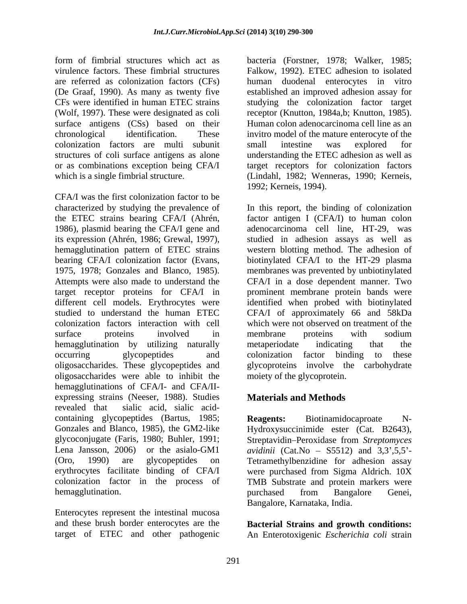CFs were identified in human ETEC strains surface antigens (CSs) based on their colonization factors are multi subunit

CFA/I was the first colonization factor to be different cell models. Erythrocytes were hemagglutination by utilizing naturally metaperiodate indicating that the oligosaccharides were able to inhibit the hemagglutinations of CFA/I- and CFA/II expressing strains (Neeser, 1988). Studies revealed that sialic acid, sialic acid containing glycopeptides (Bartus, 1985; Reagents: Biotinamidocaproate N-Gonzales and Blanco, 1985), the GM2-like Hydroxysuccinimide ester (Cat. B2643), glycoconjugate (Faris, 1980; Buhler, 1991; Streptavidin Peroxidase from *Streptomyces*  Lena Jansson, 2006) or the asialo-GM1  *(Cat.No – S5512) and 3,3',5,5'* (Oro, 1990) are glycopeptides on Tetramethylbenzidine for adhesion assay erythrocytes facilitate binding of CFA/I were purchased from Sigma Aldrich. 10X colonization factor in the process of TMB Substrate and protein markers were hemagglutination. The purchased from Bangalore Genei,

Enterocytes represent the intestinal mucosa and these brush border enterocytes are the **Bacterial Strains and growth conditions:**  target of ETEC and other pathogenic An Enterotoxigenic *Escherichia coli* strain

form of fimbrial structures which act as bacteria (Forstner, 1978; Walker, 1985; virulence factors. These fimbrial structures Falkow, 1992). ETEC adhesion to isolated are referred as colonization factors (CFs) human duodenal enterocytes in vitro (De Graaf, 1990). As many as twenty five established an improved adhesion assay for (Wolf, 1997). These were designated as coli receptor (Knutton, 1984a,b; Knutton, 1985). chronological identification. These invitro model of the mature enterocyte of the structures of coli surface antigens as alone understanding the ETEC adhesion as well as or as combinations exception being CFA/I target receptors for colonization factors which is a single fimbrial structure. (Lindahl, 1982; Wenneras, 1990; Kerneis, studying the colonization factor target Human colon adenocarcinoma cell line as an small intestine was explored for 1992; Kerneis, 1994).

characterized by studying the prevalence of In this report, the binding of colonization the ETEC strains bearing CFA/I (Ahrén, factor antigen I (CFA/I) to human colon 1986), plasmid bearing the CFA/I gene and adenocarcinoma cell line, HT-29, was its expression (Ahrén, 1986; Grewal, 1997), studied in adhesion assays as well as hemagglutination pattern of ETEC strains western blotting method. The adhesion of bearing CFA/I colonization factor (Evans, biotinylated CFA/I to the HT-29 plasma 1975, 1978; Gonzales and Blanco, 1985). membranes was prevented by unbiotinylated Attempts were also made to understand the CFA/I in a dose dependent manner. Two target receptor proteins for CFA/I in prominent membrane protein bands were studied to understand the human ETEC CFA/I of approximately 66 and 58kDa colonization factors interaction with cell which were not observed on treatment of the surface proteins involved in membrane proteins with sodium occurring glycopeptides and colonization factor binding to these oligosaccharides. These glycopeptides and glycoproteins involve the carbohydrate factor antigen I (CFA/I) to human colon adenocarcinoma cell line, HT-29, was identified when probed with biotinylated membrane proteins with sodium metaperiodate indicating that the colonization factor binding to these moiety of the glycoprotein.

# **Materials and Methods**

**Reagents:** Biotinamidocaproate N purchased from Bangalore Genei,<br>Bangalore, Karnataka, India.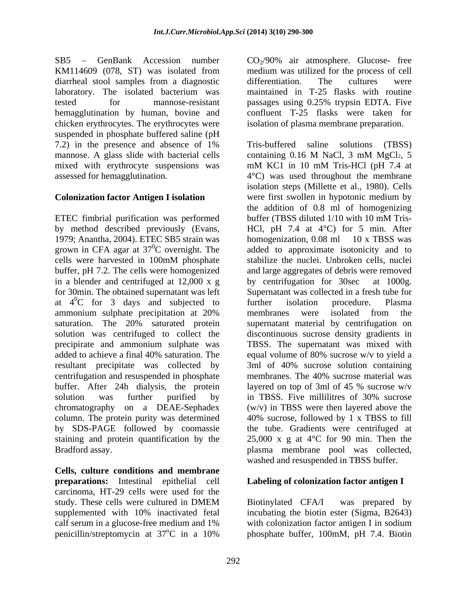$SB5 - GenBank$  Accession number  $CO<sub>2</sub>/90%$  air atmosphere. Glucose- free KM114609 (078, ST) was isolated from medium was utilized for the process of cell diarrheal stool samples from a diagnostic differentiation. The cultures were laboratory. The isolated bacterium was maintained in T-25 flasks with routine tested for mannose-resistant passages using 0.25% trypsin EDTA. Five hemagglutination by human, bovine and chicken erythrocytes. The erythrocytes were suspended in phosphate buffered saline (pH mannose. A glass slide with bacterial cells containing 0.16 M NaCl, 3 mM MgCl<sub>2</sub>, 5 mixed with erythrocyte suspensions was mM KC1 in 10 mM Tris-HCl (pH 7.4 at

ETEC fimbrial purification was performed buffer (TBSS diluted 1/10 with 10 mM Trisin a blender and centrifuged at 12,000 x g by centrifugation for 30sec at 1000g. for 30min. The obtained supernatant was left Supernatant was collected in a fresh tube for ammonium sulphate precipitation at 20% precipirate and ammonium sulphate was resultant precipitate was collected by centrifugation and resuspended in phosphate membranes. The 40% sucrose material was buffer. After 24h dialysis, the protein layered on top of 3ml of 45 % sucrose w/v solution was further purified by in TBSS. Five millilities of 30% sucrose chromatography on a DEAE-Sephadex

**Cells, culture conditions and membrane preparations:** Intestinal epithelial cell **Labeling of colonization factor antigen I** carcinoma, HT-29 cells were used for the study. These cells were cultured in DMEM Biotinylated CFA/I was prepared by supplemented with 10% inactivated fetal incubating the biotin ester (Sigma, B2643) calf serum in a glucose-free medium and 1% with colonization factor antigen I in sodium penicillin/streptomycin at 37<sup>o</sup>C in a 10% bhosphate buffer, 100mM, pH 7.4. Biotin

differentiation. The cultures were passages using 0.25% trypsin EDTA. Five confluent T-25 flasks were taken for isolation of plasma membrane preparation.

7.2) in the presence and absence of 1% assessed for hemagglutination. 4°C) was used throughout the membrane **Colonization factor Antigen I isolation** were first swollen in hypotonic medium by by method described previously (Evans, HCl, pH 7.4 at 4°C) for 5 min. After 1979; Anantha, 2004). ETEC SB5 strain was homogenization, 0.08 ml 10 x TBSS was grown in CFA agar at  $37^0$ C overnight. The added to approximate isotonicity and to cells were harvested in 100mM phosphate buffer, pH 7.2. The cells were homogenized and large aggregates of debris were removed at  $4^{\circ}$ C for 3 days and subjected to further isolation procedure. Plasma saturation. The 20% saturated protein supernatant material by centrifugation on solution was centrifuged to collect the discontinuous sucrose density gradients in added to achieve a final 40% saturation. The equal volume of 80% sucrose w/v to yield a column. The protein purity was determined 40% sucrose, followed by 1 x TBSS to fill by SDS-PAGE followed by coomassie the tube. Gradients were centrifuged at staining and protein quantification by the 25,000 x g at 4°C for 90 min. Then the Bradford assay. plasma membrane pool was collected, Tris-buffered saline solutions (TBSS) containing 0.16 M NaCl, 3 mM MgCl2, 5 mM KC1 in 10 mM Tris-HCl (pH 7.4 at isolation steps (Millette et al., 1980). Cells the addition of 0.8 ml of homogenizing buffer (TBSS diluted 1/10 with 10 mM Tris- HCl, pH 7.4 at 4°C) for 5 min. After homogenization, 0.08 ml 10 x TBSS was stabilize the nuclei. Unbroken cells, nuclei by centrifugation for 30sec at 1000g. Supernatant was collected in <sup>a</sup> fresh tube for further isolation procedure. Plasma membranes were isolated from the TBSS. The supernatant was mixed with 3ml of 40% sucrose solution containing membranes. The 40% sucrose material was layered on top of 3ml of 45 % sucrose w/v in TBSS. Five millilitres of 30% sucrose (w/v) in TBSS were then layered above the washed and resuspended in TBSS buffer.

 $^{\circ}$ C in a 10% phosphate buffer, 100mM, pH 7.4. Biotin Biotinylated CFA/I was prepared by incubating the biotin ester (Sigma, B2643)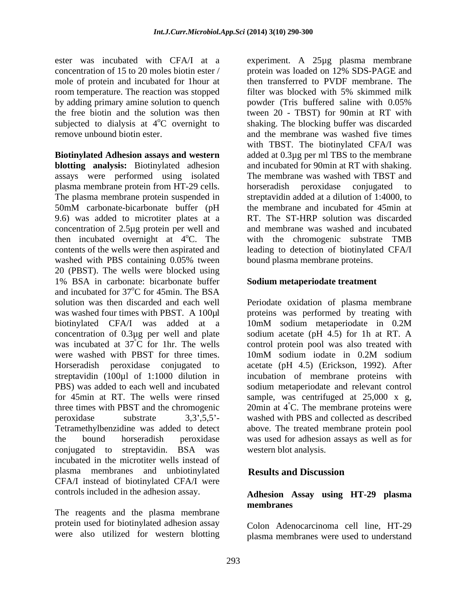ester was incubated with CFA/I at a experiment. A 25µg plasma membrane concentration of 15 to 20 moles biotin ester / mole of protein and incubated for 1hour at by adding primary amine solution to quench powder (Tris buffered saline with 0.05%

**Biotinylated Adhesion assays and western** added at 0.3µg per ml TBS to the membrane **blotting analysis:** Biotinylated adhesion assays were performed using isolated plasma membrane protein from HT-29 cells. The plasma membrane protein suspended in streptavidin added at a dilution of 1:4000, to 50mM carbonate-bicarbonate buffer (pH the membrane and incubated for 45min at 9.6) was added to microtiter plates at a concentration of 2.5µg protein per well and then incubated overnight at 4<sup>o</sup>C. The with the chromogenic substrate TMB contents of the wells were then aspirated and leading to detection of biotinylated CFA/I washed with PBS containing 0.05% tween 20 (PBST). The wells were blocked using 1% BSA in carbonate: bicarbonate buffer and incubated for 37<sup>o</sup>C for 45min. The BSA oC for 45min. The BSA solution was then discarded and each well Periodate oxidation of plasma membrane was washed four times with PBST. A 100µl proteins was performed by treating with biotinylated CFA/I was added at a 10mM sodium metaperiodate in 0.2M concentration of  $0.3\mu$ g per well and plate was incubated at  $37^{\circ}$ C for 1hr. The wells was incubated at  $37^{\circ}$ C for 1hr. The wells control protein pool was also treated with were washed with PBST for three times. 10mM sodium iodate in 0.2M sodium Horseradish peroxidase conjugated to acetate (pH 4.5) (Erickson, 1992). After streptavidin (100µl of 1:1000 dilution in incubation of membrane proteins with PBS) was added to each well and incubated sodium metaperiodate and relevant control for 45min at RT. The wells were rinsed sample, was centrifuged at 25,000 x g, three times with PBST and the chromogenic  $20\text{min}$  at  $4^{\degree}\text{C}$ . The membrane proteins were peroxidase substrate 3,3',5,5'- washed with PBS and collected as described Tetramethylbenzidine was added to detect the bound horseradish peroxidase was used for adhesion assays as well as for conjugated to streptavidin. BSA was incubated in the microtiter wells instead of plasma membranes and unbiotinylated CFA/I instead of biotinylated CFA/I were controls included in the adhesion assay.

The reagents and the plasma membrane protein used for biotinylated adhesion assay were also utilized for western blotting

room temperature. The reaction was stopped filter was blocked with 5% skimmed milk the free biotin and the solution was then tween 20 - TBST) for 90min at RT with subjected to dialysis at 4<sup>o</sup>C overnight to shaking. The blocking buffer was discarded remove unbound biotin ester. and the membrane was washed five times protein was loaded on 12% SDS-PAGE and then transferred to PVDF membrane. The powder (Tris buffered saline with 0.05% with TBST. The biotinylated CFA/I was and incubated for 90min at RT with shaking. The membrane was washed with TBST and horseradish peroxidase conjugated to the membrane and incubated for 45min at RT. The ST-HRP solution was discarded and membrane was washed and incubated bound plasma membrane proteins.

# **Sodium metaperiodate treatment**

10mM sodium metaperiodate in 0.2M sodium acetate (pH 4.5) for 1h at RT. A 10mM sodium iodate in 0.2M sodium above. The treated membrane protein pool western blot analysis.

# **Results and Discussion**

### **Adhesion Assay using HT-29 plasma membranes**

Colon Adenocarcinoma cell line, HT-29 plasma membranes were used to understand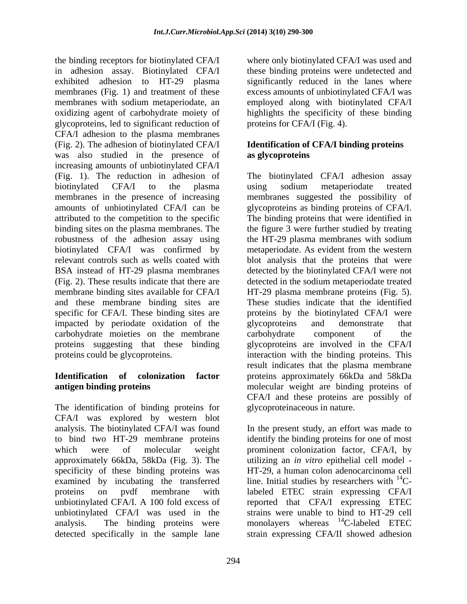the binding receptors for biotinylated CFA/I where only biotinylated CFA/I was used and in adhesion assay. Biotinylated CFA/I these binding proteins were undetected and exhibited adhesion to HT-29 plasma significantly reduced in the lanes where membranes (Fig. 1) and treatment of these excess amounts of unbiotinylated CFA/I was membranes with sodium metaperiodate, an employed along with biotinylated CFA/I oxidizing agent of carbohydrate moiety of highlights the specificity of these binding glycoproteins, led to significant reduction of CFA/I adhesion to the plasma membranes (Fig. 2). The adhesion of biotinylated CFA/I **Identification of CFA/I binding proteins** was also studied in the presence of increasing amounts of unbiotinylated CFA/I impacted by periodate oxidation of the glycoproteins and demonstrate that carbohydrate moieties on the membrane carbohydrate component of the proteins suggesting that these binding

The identification of binding proteins for CFA/I was explored by western blot specificity of these binding proteins was

proteins for CFA/I (Fig. 4).

# **as glycoproteins**

(Fig. 1). The reduction in adhesion of The biotinylated CFA/I adhesion assay biotinylated CFA/I to the plasma using sodium metaperiodate treated membranes in the presence of increasing membranes suggested the possibility of amounts of unbiotinylated CFA/I can be glycoproteins as binding proteins of CFA/I. attributed to the competition to the specific The binding proteins that were identified in binding sites on the plasma membranes. The the figure 3 were further studied by treating robustness of the adhesion assay using the HT-29 plasma membranes with sodium biotinylated CFA/I was confirmed by metaperiodate. As evident from the western relevant controls such as wells coated with blot analysis that the proteins that were BSA instead of HT-29 plasma membranes detected by the biotinylated CFA/I were not (Fig. 2). These results indicate that there are detected in the sodium metaperiodate treated membrane binding sites available for CFA/I HT-29 plasma membrane proteins (Fig. 5). and these membrane binding sites are These studies indicate that the identified specific for CFA/I. These binding sites are proteins by the biotinylated CFA/I were proteins could be glycoproteins. interaction with the binding proteins. This **Identification of colonization factor** proteins approximately 66kDa and 58kDa **antigen binding proteins molecular** weight are binding proteins of using sodium metaperiodate treated glycoproteins and demonstrate that carbohydrate component of the glycoproteins are involved in the CFA/I result indicates that the plasma membrane CFA/I and these proteins are possibly of glycoproteinaceous in nature.

analysis. The biotinylated CFA/I was found In the present study, an effort was made to to bind two HT-29 membrane proteins identify the binding proteins forone of most which were of molecular weight prominent colonization factor, CFA/I, by approximately 66kDa, 58kDa (Fig. 3). The utilizing an *in vitro* epithelial cell model examined by incubating the transferred line. Initial studies by researchers with <sup>14</sup>Cproteins on pvdf membrane with labeled ETEC strain expressing CFA/I unbiotinylated CFA/I. A 100 fold excess of reported that CFA/I expressing ETEC unbiotinylated CFA/I was used in the strains were unable to bind to HT-29 cell analysis. The binding proteins were monolayers whereas <sup>14</sup>C-labeled ETEC detected specifically in the sample lane strain expressing CFA/II showed adhesionHT-29, a human colon adenocarcinoma cell <sup>14</sup>C-labeled ETEC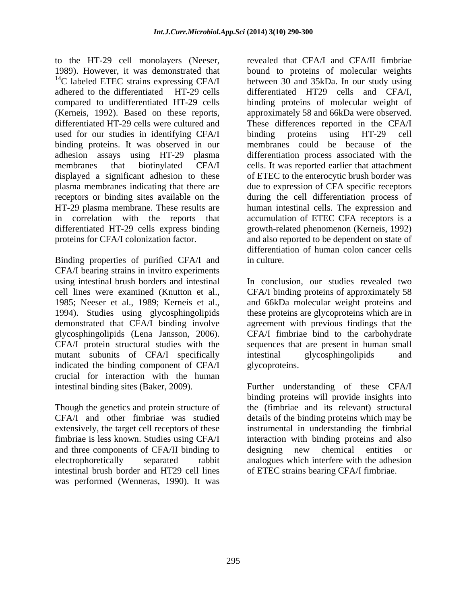to the HT-29 cell monolayers (Neeser, 1989). However, it was demonstrated that that bound to proteins of molecular weights  $^{14}$ C labeled ETEC strains expressing CFA/I adhered to the differentiated HT-29 cells differentiated HT29 cells and CFA/I, compared to undifferentiated HT-29 cells binding proteins of molecular weight of (Kerneis, 1992). Based on these reports, approximately 58 and 66kDa were observed. differentiated HT-29 cells were cultured and These differences reported in the CFA/I used for our studies in identifying CFA/I binding proteins using HT-29 cell binding proteins. It was observed in our membranes could be because of the adhesion assays using HT-29 plasma membranes that biotinylated CFA/I cells. It was reported earlier that attachment displayed a significant adhesion to these of ETEC to the enterocytic brush border was plasma membranes indicating that there are due to expression of CFA specific receptors receptors or binding sites available on the during the cell differentiation process of HT-29 plasma membrane. These results are human intestinal cells. The expression and in correlation with the reports that accumulation of ETEC CFA receptors is a differentiated HT-29 cells express binding growth-related phenomenon (Kerneis, 1992) proteins for CFA/I colonization factor. and also reported to be dependent on state of

Binding properties of purified CFA/I and in culture. CFA/I bearing strains in invitro experiments 1994). Studies using glycosphingolipids demonstrated that CFA/I binding involve mutant subunits of CFA/I specifically intestinal glycosphingolipids and indicated the binding component of CFA/I crucial for interaction with the human

Though the genetics and protein structure of extensively, the target cell receptors of these and three components of CFA/II binding to designing new chemical entities or intestinal brush border and HT29 cell lines was performed (Wenneras, 1990). It was

revealed that CFA/I and CFA/II fimbriae bound to proteins of molecular weights between 30 and 35kDa. In our study using binding proteins using HT-29 cell differentiation process associated with the differentiation of human colon cancer cells in culture.

using intestinal brush borders and intestinal In conclusion, our studies revealed two cell lines were examined (Knutton et al., CFA/I binding proteins of approximately 58 1985; Neeser et al., 1989; Kerneis et al., and 66kDa molecular weight proteins and glycosphingolipids (Lena Jansson, 2006). CFA/I fimbriae bind to the carbohydrate CFA/I protein structural studies with the sequences that are present in human small these proteins are glycoproteins which are in agreement with previous findings that the intestinal glycosphingolipids and glycoproteins.

intestinal binding sites (Baker, 2009). Further understanding of these CFA/I CFA/I and other fimbriae was studied details of the binding proteins which may be fimbriae is less known. Studies using CFA/I interaction with binding proteins and also electrophoretically separated rabbit analogues which interfere with the adhesion binding proteins will provide insights into the (fimbriae and its relevant) structural instrumental in understanding the fimbrial designing new chemical entities or of ETEC strains bearing CFA/I fimbriae.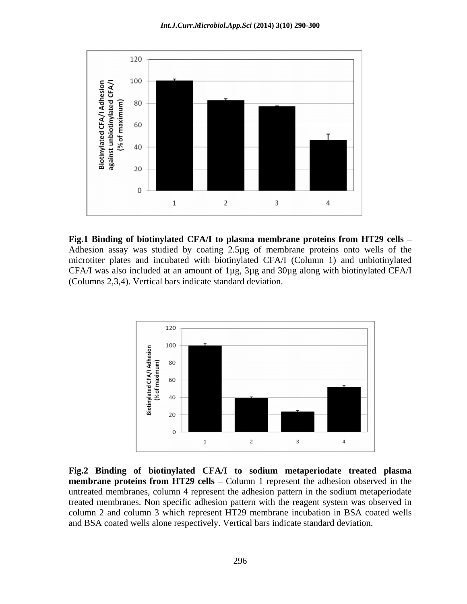

**Fig.1 Binding of biotinylated CFA/I to plasma membrane proteins from HT29 cells** Adhesion assay was studied by coating 2.5µg of membrane proteins onto wells of the microtiter plates and incubated with biotinylated CFA/I (Column 1) and unbiotinylated CFA/I was also included at an amount of 1µg, 3µg and 30µg along with biotinylated CFA/I (Columns 2,3,4). Vertical bars indicate standard deviation.



**Fig.2 Binding of biotinylated CFA/I to sodium metaperiodate treated plasma membrane** proteins from HT29 cells – Column 1 represent the adhesion observed in the untreated membranes, column 4 represent the adhesion pattern in the sodium metaperiodate treated membranes. Non specific adhesion pattern with the reagent system was observed in column 2 and column 3 which represent HT29 membrane incubation in BSA coated wells and BSA coated wells alone respectively. Vertical bars indicate standard deviation.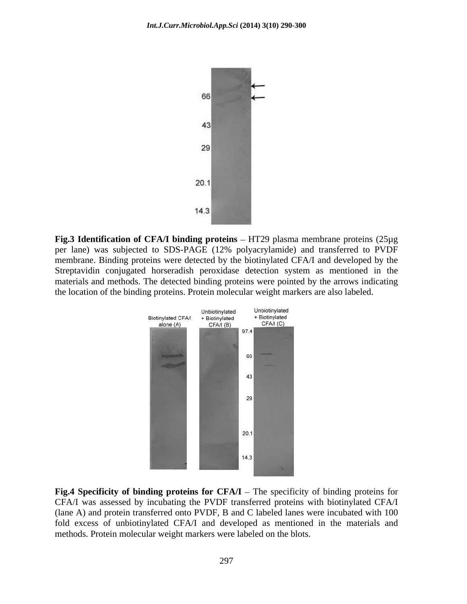

**Fig.3 Identification** of **CFA/I** binding proteins – HT29 plasma membrane proteins (25µg) per lane) was subjected to SDS-PAGE (12% polyacrylamide) and transferred to PVDF membrane. Binding proteins were detected by the biotinylated CFA/I and developed by the Streptavidin conjugated horseradish peroxidase detection system as mentioned in the materials and methods. The detected binding proteins were pointed by the arrows indicating the location of the binding proteins. Protein molecular weight markers are also labeled.



**Fig.4** Specificity of binding proteins for  $CFA/I$  – The specificity of binding proteins for CFA/I was assessed by incubating the PVDF transferred proteins with biotinylated CFA/I (lane A) and protein transferred onto PVDF, B and C labeled lanes were incubated with 100 fold excess of unbiotinylated CFA/I and developed as mentioned in the materials and methods. Protein molecular weight markers were labeled on the blots.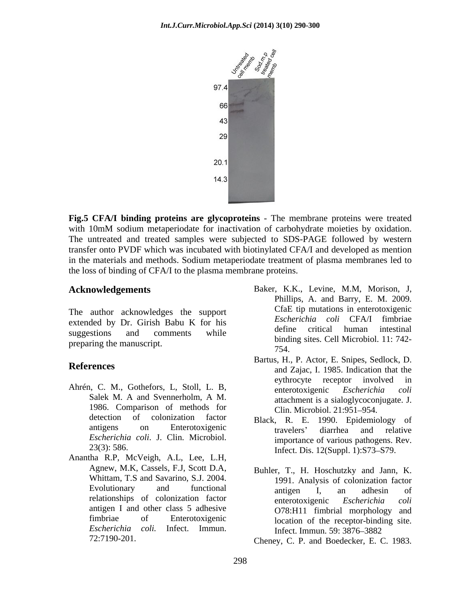

**Fig.5 CFA/I binding proteins are glycoproteins** - The membrane proteins were treated with 10mM sodium metaperiodate for inactivation of carbohydrate moieties by oxidation. The untreated and treated samples were subjected to SDS-PAGE followed by western transfer onto PVDF which was incubated with biotinylated CFA/I and developed as mention in the materials and methods. Sodium metaperiodate treatment of plasma membranes led to the loss of binding of CFA/I to the plasma membrane proteins.

The author acknowledges the support extended by Dr. Girish Babu K for his *Escherichia coll* CFA/1 filmoriae<br>define critical human intestinal preparing the manuscript. The manuscript. The manuscript. The manuscript. The manuscript. The manuscript. The manuscript. The manuscript. The manuscript. The manuscript. The manuscript. The manuscript. The manuscript. The

- Ahrén, C. M., Gothefors, L. Stoll, L. B, enterotoxigenic Escherichia coli 1986. Comparison of methods for detection of colonization factor Black R E 1990 Enidemiology of *Escherichia coli*. J. Clin. Microbiol.
- Anantha R.P, McVeigh, A.L, Lee, L.H, Agnew, M.K, Cassels, F.J, Scott D.A, Whittam, T.S and Savarino, S.J. 2004. antigen I and other class 5 adhesive *Escherichia coli.* Infect. Immun.
- **Acknowledgements** Baker, K.K., Levine, M.M, Morison, J, suggestions and comments while the define critical numan intestinal Phillips, A. and Barry, E. M. 2009. CfaE tip mutations in enterotoxigenic *Escherichia coli* CFA/I fimbriae define critical human intestinal binding sites. Cell Microbiol. 11: 742- 754.
- **References** and Zajac, I. 1985. Indication that the Salek M. A and Svennerholm, A M. attachment is a sialoglycoconiugate I Bartus, H., P. Actor, E. Snipes, Sedlock, D. eythrocyte receptor involved in enterotoxigenic *Escherichia coli* attachment is a sialoglycoconjugate. J. Clin. Microbiol. 21:951-954.
	- antigens on Enterotoxigenic travelers' diarrhea and relative 23(3): 586. Infect. Dis. 12(Suppl. 1):S73-S79. Black, R. E. 1990. Epidemiology of travelers' diarrhea and relative importance of various pathogens. Rev.
	- Evolutionary and functional antigen I an adhesin of Evolutionary and functional antigen I, an adhesin of relationships of colonization factor antigen I, an adhesin of fimbriae of Enterotoxigenic location of the receptor-binding site. Buhler, T., H. Hoschutzky and Jann, K. 1991. Analysis of colonization factor antigen I, an adhesin of enterotoxigenic *Escherichia coli* O78:H11 fimbrial morphology and Infect. Immun. 59: 3876–3882

72:7190-201. Cheney, C. P. and Boedecker, E. C. 1983.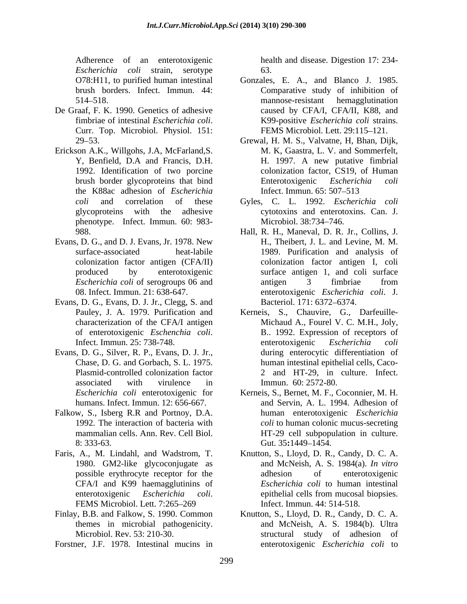Adherence of an enterotoxigenic health and disease. Digestion 17: 234- *Escherichia coli* strain, serotype

- De Graaf, F. K. 1990. Genetics of adhesive
- Erickson A.K., Willgohs, J.A, McFarland, S.<br>Y. Benfield, D.A and Francis, D.H. the K88ac adhesion of *Escherichia*  phenotype. Infect. Immun. 60: 983- Microbiol. 38:734–746.
- Evans, D. G., and D. J. Evans, Jr. 1978. New
- Evans, D. G., Evans, D. J. Jr., Clegg, S. and Bacteriol. 171: 6372–6374.
- Evans, D. G., Silver, R. P., Evans, D. J. Jr.,
- Falkow, S., Isberg R.R and Portnoy, D.A. 8: 333-63. Gut. 35:1449–1454.
- Faris, A., M. Lindahl, and Wadstrom, T. Knutton, S., Lloyd, D. R., Candy, D. C. A. 1980. GM2-like glycoconjugate as CFA/I and K99 haemagglutinins of
- Finlay, B.B. and Falkow, S. 1990. Common Knutton, S., Lloyd, D. R., Candy, D. C. A. themes in microbial pathogenicity.
- Forstner, J.F. 1978. Intestinal mucins in

63.

- O78:H11, to purified human intestinal Gonzales, E. A., and Blanco J. 1985. brush borders. Infect. Immun. 44: Comparative study of inhibition of 514–518. mannose-resistant hemagglutination fimbriae of intestinal *Escherichia coli*. Curr. Top. Microbiol. Physiol. 151: mannose-resistant hemagglutination caused by CFA/I, CFA/II, K88, and K99-positive *Escherichia coli* strains. FEMS Microbiol. Lett. 29:115-121.
- 29 53. Grewal, H. M. S., Valvatne, H, Bhan, Dijk, Y, Benfield, D.A and Francis, D.H. 1992. Identification of two porcine colonization factor, CS19, of Human brush border glycoproteins that bind<br>
Enterotoxigenic Escherichia coli M. K, Gaastra, L. V. and Sommerfelt, H. 1997. A new putative fimbrial Enterotoxigenic *Escherichia coli* Infect. Immun. 65: 507–513
- *coli* and correlation of these Gyles, C. L. 1992. *Escherichia coli* glycoproteins with the adhesive cytotoxins and enterotoxins. Can. J. Microbiol. 38:734–746.
- 988. Hall, R. H., Maneval, D. R. Jr., Collins, J. surface-associated heat-labile 1989. Purification and analysis of colonization factor antigen (CFA/II) colonization factor antigen I, coli produced by enterotoxigenic surface antigen 1, and coli surface *Escherichia coli* of serogroups 06 and 08. Infect. Immun. 21: 638-647. enterotoxigenic *Escherichia coli*. J. H., Theibert, J. L. and Levine, M. M. antigen 3 fimbriae from Bacteriol. 171: 6372–6374.
- Pauley, J. A. 1979. Purification and Kerneis, S., Chauvire, G., Darfeuille characterization of the CFA/I antigen Michaud A., Fourel V. C. M.H., Joly, of enterotoxigenic *Eschenchia coli*. Infect. Immun. 25: 738-748. Chase, D. G. and Gorbach, S. L. 1975. human intestinal epithelial cells, Caco- Plasmid-controlled colonization factor 2 and HT-29, in culture. Infect. associated with virulence in Immun. 60: 2572-80. B.. 1992. Expression of receptors of enterotoxigenic *Escherichia coli* during enterocytic differentiation of Immun. 60: 2572-80.
- *Escherichia coli* enterotoxigenic for Kerneis, S., Bernet, M. F., Coconnier, M. H. humans. Infect. Immun. 12: 656-667. and Servin, A. L. 1994. Adhesion of 1992. The interaction of bacteria with *coli* to human colonic mucus-secreting mammalian cells. Ann. Rev. Cell Biol. HT-29 cell subpopulation in culture. human enterotoxigenic *Escherichia*  Gut. 35:1449–1454.
- possible erythrocyte receptor for the adhesion of enterotoxigenic enterotoxigenic *Escherichia coli*. epithelial cells from mucosal biopsies.<br>FEMS Microbiol. Lett. 7:265–269 **FEMS** Infect. Immun. 44: 514-518. and McNeish, A. S. 1984(a). *In vitro* adhesion of enterotoxigenic *Escherichia coli* to human intestinal epithelial cells from mucosal biopsies. Infect. Immun. 44: 514-518.
- Microbiol. Rev. 53: 210-30. structural study of adhesion of and McNeish, A. S. 1984(b). Ultra enterotoxigenic *Escherichia coli* to